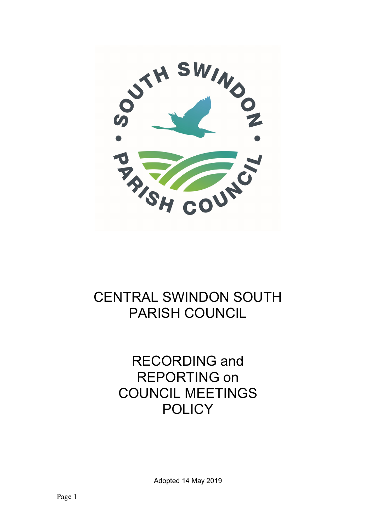

## CENTRAL SWINDON SOUTH PARISH COUNCIL

# RECORDING and REPORTING on COUNCIL MEETINGS **POLICY**

Adopted 14 May 2019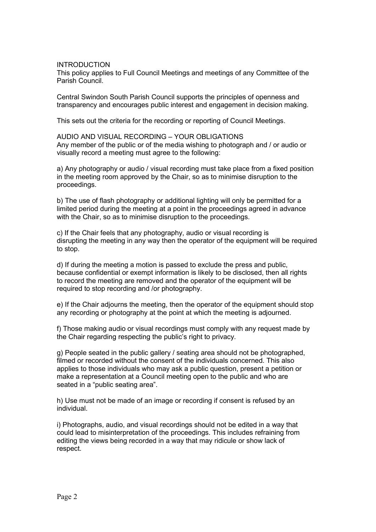### INTRODUCTION

This policy applies to Full Council Meetings and meetings of any Committee of the Parish Council.

Central Swindon South Parish Council supports the principles of openness and transparency and encourages public interest and engagement in decision making.

This sets out the criteria for the recording or reporting of Council Meetings.

AUDIO AND VISUAL RECORDING – YOUR OBLIGATIONS Any member of the public or of the media wishing to photograph and / or audio or visually record a meeting must agree to the following:

a) Any photography or audio / visual recording must take place from a fixed position in the meeting room approved by the Chair, so as to minimise disruption to the proceedings.

b) The use of flash photography or additional lighting will only be permitted for a limited period during the meeting at a point in the proceedings agreed in advance with the Chair, so as to minimise disruption to the proceedings.

c) If the Chair feels that any photography, audio or visual recording is disrupting the meeting in any way then the operator of the equipment will be required to stop.

d) If during the meeting a motion is passed to exclude the press and public, because confidential or exempt information is likely to be disclosed, then all rights to record the meeting are removed and the operator of the equipment will be required to stop recording and /or photography.

e) If the Chair adjourns the meeting, then the operator of the equipment should stop any recording or photography at the point at which the meeting is adjourned.

f) Those making audio or visual recordings must comply with any request made by the Chair regarding respecting the public's right to privacy.

g) People seated in the public gallery / seating area should not be photographed, filmed or recorded without the consent of the individuals concerned. This also applies to those individuals who may ask a public question, present a petition or make a representation at a Council meeting open to the public and who are seated in a "public seating area".

h) Use must not be made of an image or recording if consent is refused by an individual.

i) Photographs, audio, and visual recordings should not be edited in a way that could lead to misinterpretation of the proceedings. This includes refraining from editing the views being recorded in a way that may ridicule or show lack of respect.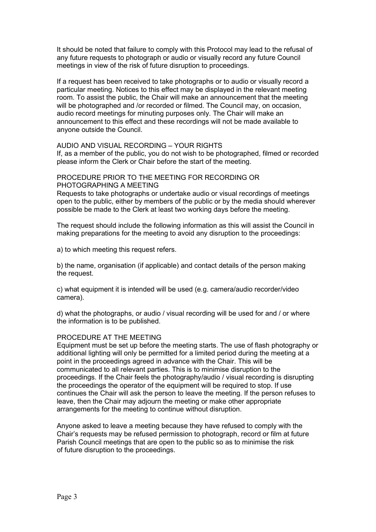It should be noted that failure to comply with this Protocol may lead to the refusal of any future requests to photograph or audio or visually record any future Council meetings in view of the risk of future disruption to proceedings.

If a request has been received to take photographs or to audio or visually record a particular meeting. Notices to this effect may be displayed in the relevant meeting room. To assist the public, the Chair will make an announcement that the meeting will be photographed and /or recorded or filmed. The Council may, on occasion, audio record meetings for minuting purposes only. The Chair will make an announcement to this effect and these recordings will not be made available to anyone outside the Council.

## AUDIO AND VISUAL RECORDING – YOUR RIGHTS

If, as a member of the public, you do not wish to be photographed, filmed or recorded please inform the Clerk or Chair before the start of the meeting.

#### PROCEDURE PRIOR TO THE MEETING FOR RECORDING OR PHOTOGRAPHING A MEETING

Requests to take photographs or undertake audio or visual recordings of meetings open to the public, either by members of the public or by the media should wherever possible be made to the Clerk at least two working days before the meeting.

The request should include the following information as this will assist the Council in making preparations for the meeting to avoid any disruption to the proceedings:

a) to which meeting this request refers.

b) the name, organisation (if applicable) and contact details of the person making the request.

c) what equipment it is intended will be used (e.g. camera/audio recorder/video camera).

d) what the photographs, or audio / visual recording will be used for and / or where the information is to be published.

### PROCEDURE AT THE MEETING

Equipment must be set up before the meeting starts. The use of flash photography or additional lighting will only be permitted for a limited period during the meeting at a point in the proceedings agreed in advance with the Chair. This will be communicated to all relevant parties. This is to minimise disruption to the proceedings. If the Chair feels the photography/audio / visual recording is disrupting the proceedings the operator of the equipment will be required to stop. If use continues the Chair will ask the person to leave the meeting. If the person refuses to leave, then the Chair may adjourn the meeting or make other appropriate arrangements for the meeting to continue without disruption.

Anyone asked to leave a meeting because they have refused to comply with the Chair's requests may be refused permission to photograph, record or film at future Parish Council meetings that are open to the public so as to minimise the risk of future disruption to the proceedings.